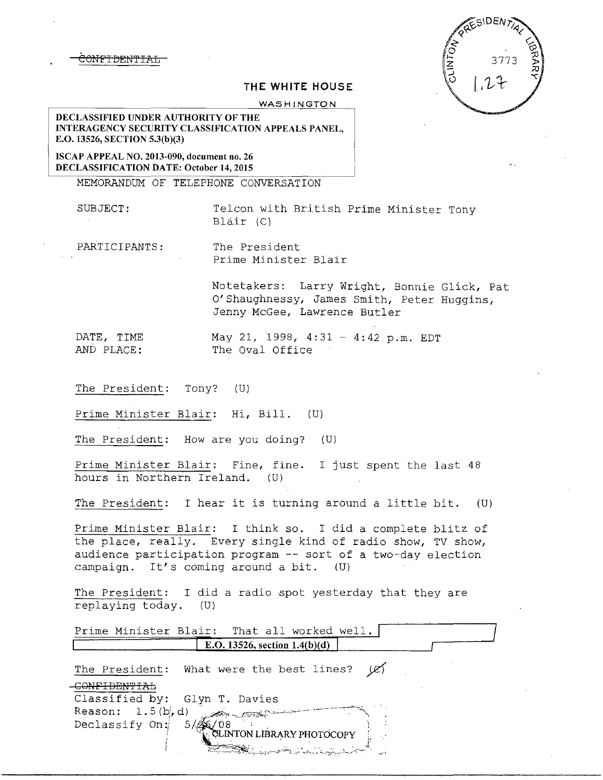NF<del>IDENTIAL</del>

 $SIDEN$ 

## **THE WHITE HOUSE**

WASHINGTON

DECLASSIFIED UNDER AUTHORITY OF THE INTERAGENCY SECURITY CLASSIFICATION APPEALS PANEL, E.O. 13526, SECTION 5.3(b)(3)

ISCAP APPEAL NO. 2013-090, document no. 26 DECLASSIFICATION DATE: October 14, 2015

MEMORANDUM OF TELEPHONE CONVERSATION

SUBJECT: Telcon with British Prime Minister Tony Blair (Cl

PARTICIPANTS: The President Prime Minister Blair

> Notetakers: Larry Wright, Bonnie Glick, Pat O'Shaughnessy, James Smith, Peter Huggins, Jenny McGee, Lawrence Butler

DATE, TIME May 21, 1998, 4:31 - 4:42 p.m. EDT<br>AND PLACE: The Oval Office The Oval Office

The President: Tony? (U)

Prime Minister Blair: Hi, Bill. (U)

The President: How are you doing? (U)

Prime Minister Blair: Fine, fine. I just spent the last 48 hours in Northern Ireland. (U)

The President: I hear it is turning around a little bit. (U)

Prime Minister Blair: I think so. I did a complete blitz of the place, really. Every single kind of radio show, TV show, audience participation program -- sort of a two-day election campaign. It's coming around a bit. (U)

The President: I did a radio spot yesterday that they are replaying today.  $(U)$ 

| Prime Minister Blair: That all worked well.            |  |
|--------------------------------------------------------|--|
| E.O. 13526, section $1.4(b)(d)$                        |  |
| The President: What were the best lines? $\varnothing$ |  |
|                                                        |  |
| Classified by: Glyn T. Davies                          |  |
| Reason: $1.5(b, d)$                                    |  |
| Declassify On:                                         |  |
| CLINTON LIBRARY PHOTOCOPY                              |  |
| <b>BA</b> LLER RATE RELAY                              |  |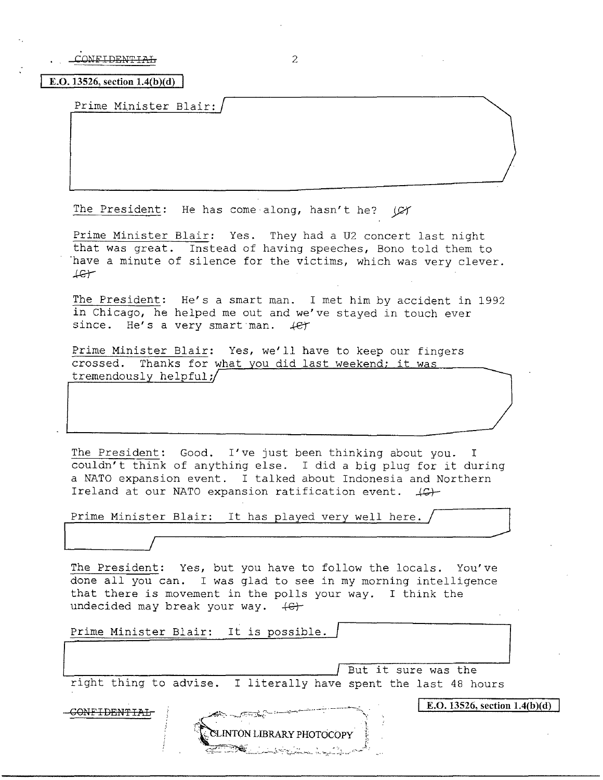$COMFIDENTTA+$  2

**E.O. 13526, section 1.4(b)(d)** 

Prime Minister Blair:

The President: He has come along, hasn't he?  $\varnothing$ 

Prime Minister Blair: Yes. They had a U2 concert last night that was great. Instead of having speeches, Bono told them to have a minute of silence for the victims, which was very clever.  $Let$ 

The President: He's a smart man. I met him by accident in 1992 in Chicago, he helped me out and we've stayed in touch ever since. He's a very smart man.  $4e^{+}$ 

Prime Minister Blair: Yes, we'll have to keep our fingers crossed. Thanks for what you did last weekend; it was tremendously helpful;

The President: Good. I've just been thinking about you. I couldn't think of anything else. I did a big plug for it during a NATO expansion event. I talked about Indonesia and Northern Ireland at our NATO expansion ratification event.  $\downarrow \mathbb{G}$ .

Prime Minister Blair: It has played very well here.  $/$ 

The President: Yes, but you have to follow the locals. You've done all you can. I was glad to see in my morning intelligence that there is movement in the polls your way. I think the undecided may break your way.  $\leftarrow$ 

Prime Minister Blair: It is possible. | But it sure was the right thing to advise. I literally have spent the last 48 hours **E.O. 13526, section**  $1.4(b)(d)$ GONFIDENTIAL **ELINTON LIBRARY PHOTOCOPY**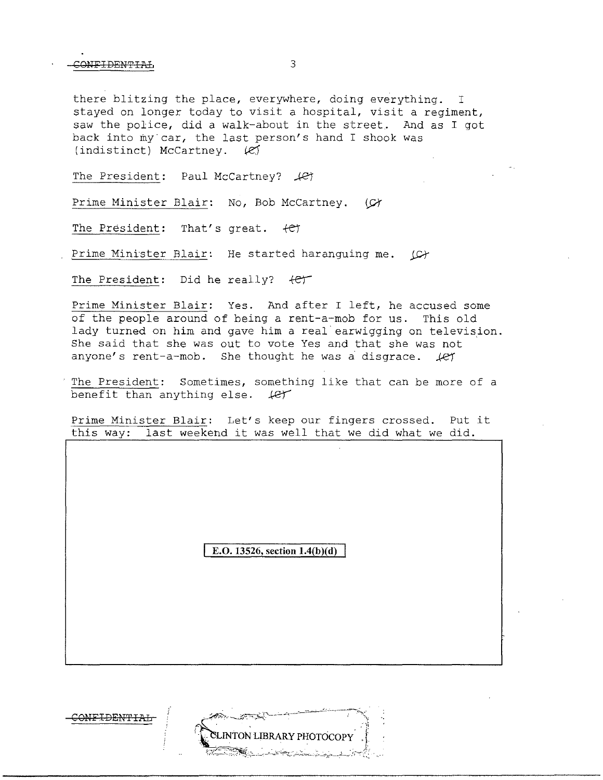CONFIDENTIAL 3

there blitzing the place, everywhere, doing everything. I stayed on longer today to visit a hospital, visit a regiment, saw the police, did a walk-about in the street. And as I got back into my car, the last person's hand I shook was (indistinct) McCartney.  $\mathcal{L}$ 

The President: Paul McCartney?  $\mathcal{L}$ 

Prime Minister Blair: No, Bob McCartney. (C)

The President: That's great.  $+e\tau$ 

Prime Minister Blair: He started haranguing me.  $\Box$ 

The President: Did he really?  $+e^+$ 

Prime Minister Blair: Yes. And after I left, he accused some of the people around of being a rent-a-mob for us. This old lady turned on him and gave him a real earwigging on television. She said that she was out to vote Yes and that she was not anyone's rent-a-mob. She thought he was a disgrace.  $\text{\#C}$ 

The President: Sometimes, something like that can be more of a benefit than anything else.  $#er$ 

Prime Minister Blair: Let's keep our fingers crossed. Put it this way: last weekend it was well that we did what we did.

**E.O. 13526, section 1.4(b)(d)** 

COHFIDEN'FIAL

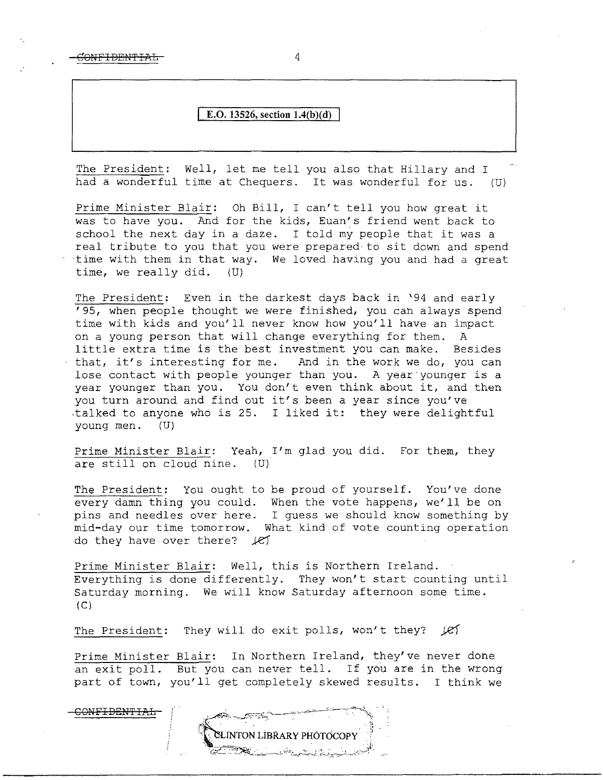CONFIDENTIAL 4

## **E.O. 13526, section 1.4(b)(d)**

The President: Well, let me tell you also that Hillary and I had a wonderful time at Chequers. It was wonderful for us. (U)

Prime Minister Blair: Oh Bill, I can't tell you how great it was to have you. And for the kids, Euan's friend went back to school the next day in a daze. I told my people that it was a real tribute to you that you were prepared to sit down and spend ·time with them in that way. We loved having you and had a great time, we really did.  $(U)$ time, we really did.

The President: Even in the darkest days back in '94 and early '95, when people thought we were finished, you can always spend time with kids and you'll never know how you'll have an impact on a young person that will change everything for them. A little extra time is the best investment you can make. Besides that, it's interesting for me. And in the work we do, you can lose contact with people younger than you. A year younger is a year younger than you. You don't even think about it, and then you turn around and find out it's been a year since you've .talked to anyone who is 25. I liked it: they were delightful young men. (U)

Prime Minister Blair: Yeah, I'm glad you did. For them, they are still on cloud nine. (U)

The President: You ought to be proud of yourself. You've done every damn thing you could. When the vote happens, we'll be on pins and needles over here. I guess we should know something by mid-day our time tomorrow. What kind of vote counting operation do they have over there?  $\mathcal{I}$ 

Prime Minister Blair: Well, this is Northern Ireland. Everything is done differently. They won't start counting until Saturday morning. We will know Saturday afternoon some time.  $(C)$ 

The President: They will do exit polls, won't they? *[e]* 

Prime Minister Blair: In Northern Ireland, they've never done an exit poll. But you can never tell. If you are in the wrong part of town, you'll get completely skewed results. I think we

CONFIDEN'f IAL NTON LÍBRARY PHÓTOCOPY